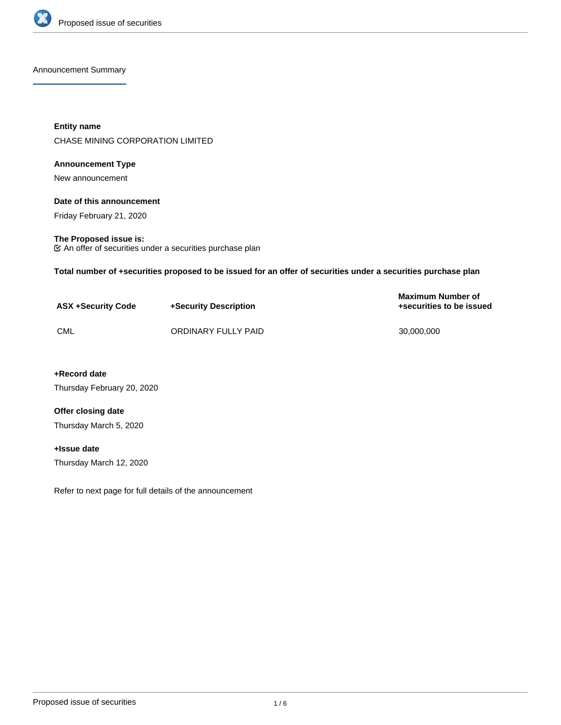

#### Announcement Summary

**Entity name** CHASE MINING CORPORATION LIMITED

### **Announcement Type**

New announcement

## **Date of this announcement**

Friday February 21, 2020

## **The Proposed issue is:**

An offer of securities under a securities purchase plan

**Total number of +securities proposed to be issued for an offer of securities under a securities purchase plan**

| <b>ASX +Security Code</b> | +Security Description | Maximum Number of<br>+securities to be issued |
|---------------------------|-----------------------|-----------------------------------------------|
| <b>CML</b>                | ORDINARY FULLY PAID   | 30.000.000                                    |

## **+Record date**

Thursday February 20, 2020

## **Offer closing date**

Thursday March 5, 2020

# **+Issue date**

Thursday March 12, 2020

Refer to next page for full details of the announcement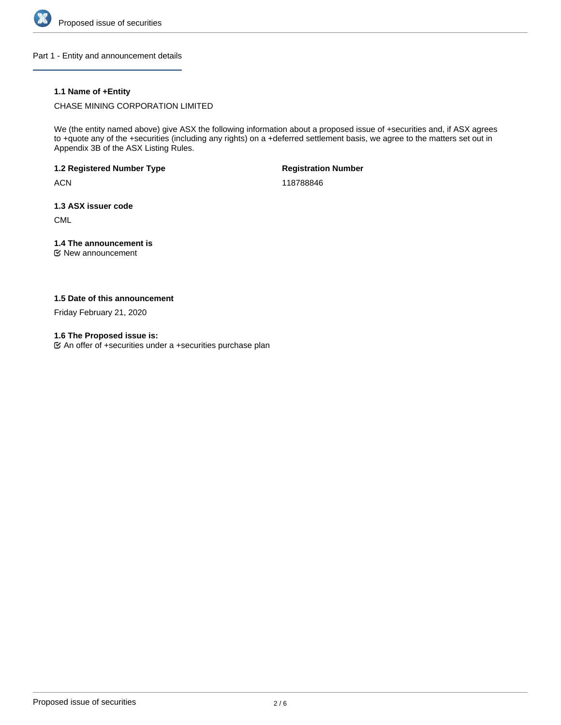

Part 1 - Entity and announcement details

## **1.1 Name of +Entity**

CHASE MINING CORPORATION LIMITED

We (the entity named above) give ASX the following information about a proposed issue of +securities and, if ASX agrees to +quote any of the +securities (including any rights) on a +deferred settlement basis, we agree to the matters set out in Appendix 3B of the ASX Listing Rules.

**1.2 Registered Number Type**

**ACN** 

**Registration Number**

118788846

**1.3 ASX issuer code**

CML

# **1.4 The announcement is**

New announcement

## **1.5 Date of this announcement**

Friday February 21, 2020

**1.6 The Proposed issue is:**

An offer of +securities under a +securities purchase plan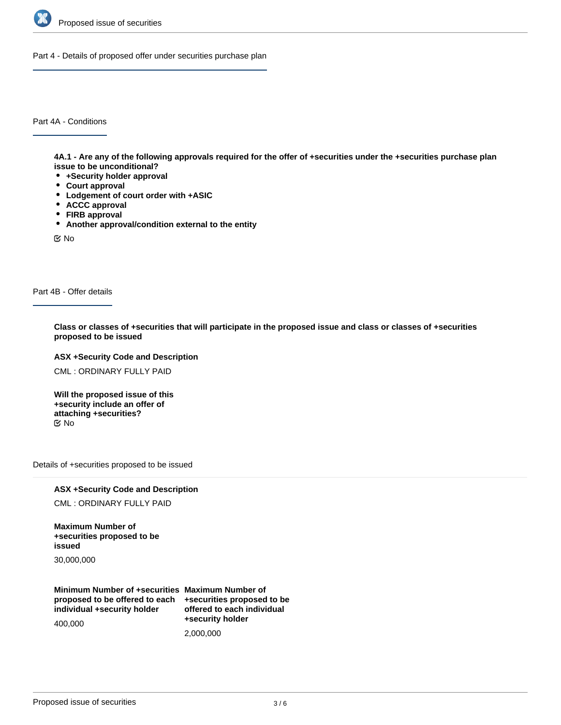

Part 4 - Details of proposed offer under securities purchase plan

Part 4A - Conditions

**4A.1 - Are any of the following approvals required for the offer of +securities under the +securities purchase plan issue to be unconditional?**

- **+Security holder approval**
- **Court approval**
- **Lodgement of court order with +ASIC**
- **ACCC approval**
- **FIRB approval**
- **Another approval/condition external to the entity**

No

Part 4B - Offer details

**Class or classes of +securities that will participate in the proposed issue and class or classes of +securities proposed to be issued**

### **ASX +Security Code and Description**

CML : ORDINARY FULLY PAID

**Will the proposed issue of this +security include an offer of attaching +securities?** No

Details of +securities proposed to be issued

# **ASX +Security Code and Description**

CML : ORDINARY FULLY PAID

**Maximum Number of +securities proposed to be issued**

30,000,000

**Minimum Number of +securities Maximum Number of proposed to be offered to each individual +security holder**

400,000

**+securities proposed to be offered to each individual +security holder** 2,000,000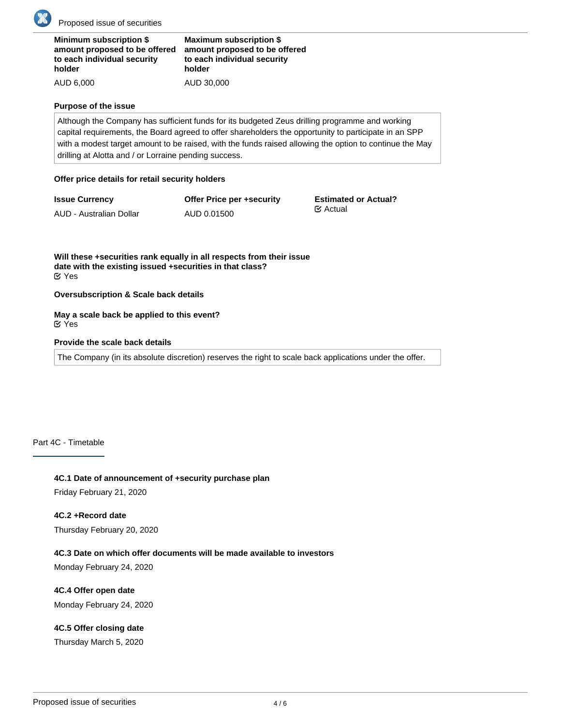

Proposed issue of securities

| <b>Minimum subscription \$</b> | <b>Maximum subscription \$</b> |
|--------------------------------|--------------------------------|
| amount proposed to be offered  | amount proposed to be off      |
| to each individual security    | to each individual security    |
| holder                         | holder                         |
| AUD 6,000                      | AUD 30,000                     |

#### **Purpose of the issue**

Although the Company has sufficient funds for its budgeted Zeus drilling programme and working capital requirements, the Board agreed to offer shareholders the opportunity to participate in an SPP with a modest target amount to be raised, with the funds raised allowing the option to continue the May drilling at Alotta and / or Lorraine pending success.

**a**ffered

### **Offer price details for retail security holders**

**Issue Currency** AUD - Australian Dollar

**Offer Price per +security** AUD 0.01500

**Estimated or Actual?** Actual

**Will these +securities rank equally in all respects from their issue date with the existing issued +securities in that class?** Yes

**Oversubscription & Scale back details**

**May a scale back be applied to this event?** Yes

### **Provide the scale back details**

The Company (in its absolute discretion) reserves the right to scale back applications under the offer.

## Part 4C - Timetable

**4C.1 Date of announcement of +security purchase plan**

Friday February 21, 2020

### **4C.2 +Record date**

Thursday February 20, 2020

### **4C.3 Date on which offer documents will be made available to investors**

Monday February 24, 2020

**4C.4 Offer open date** Monday February 24, 2020

### **4C.5 Offer closing date**

Thursday March 5, 2020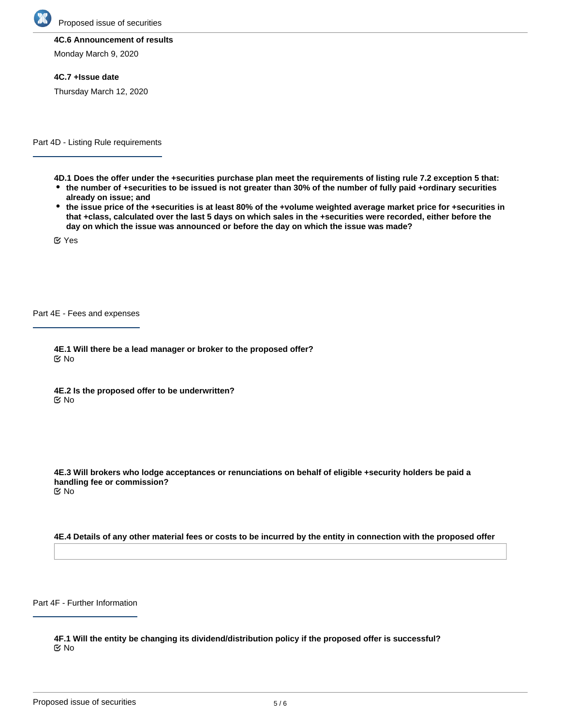

Proposed issue of securities

#### **4C.6 Announcement of results**

Monday March 9, 2020

#### **4C.7 +Issue date**

Thursday March 12, 2020

Part 4D - Listing Rule requirements

- **4D.1 Does the offer under the +securities purchase plan meet the requirements of listing rule 7.2 exception 5 that: the number of +securities to be issued is not greater than 30% of the number of fully paid +ordinary securities already on issue; and**
- **the issue price of the +securities is at least 80% of the +volume weighted average market price for +securities in that +class, calculated over the last 5 days on which sales in the +securities were recorded, either before the day on which the issue was announced or before the day on which the issue was made?**

Yes

Part 4E - Fees and expenses

**4E.1 Will there be a lead manager or broker to the proposed offer?** No

**4E.2 Is the proposed offer to be underwritten? K** No

**4E.3 Will brokers who lodge acceptances or renunciations on behalf of eligible +security holders be paid a handling fee or commission?** No

#### **4E.4 Details of any other material fees or costs to be incurred by the entity in connection with the proposed offer**

Part 4F - Further Information

**4F.1 Will the entity be changing its dividend/distribution policy if the proposed offer is successful?** No